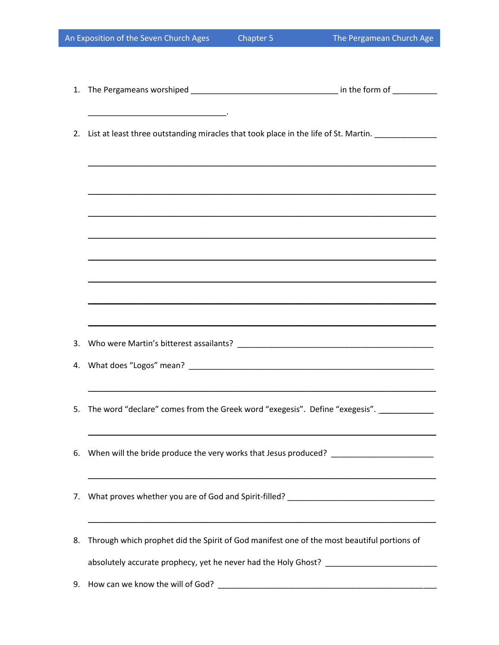|          | An Exposition of the Seven Church Ages                                                                                                                                                                          | chapter 5                                                   | The Pergamean Church Age                                                         |
|----------|-----------------------------------------------------------------------------------------------------------------------------------------------------------------------------------------------------------------|-------------------------------------------------------------|----------------------------------------------------------------------------------|
| 1.       |                                                                                                                                                                                                                 |                                                             |                                                                                  |
|          | 2. List at least three outstanding miracles that took place in the life of St. Martin. ____________                                                                                                             |                                                             |                                                                                  |
|          |                                                                                                                                                                                                                 |                                                             |                                                                                  |
|          |                                                                                                                                                                                                                 |                                                             |                                                                                  |
|          |                                                                                                                                                                                                                 |                                                             |                                                                                  |
|          |                                                                                                                                                                                                                 |                                                             | ,我们也不会有什么。""我们的人,我们也不会有什么?""我们的人,我们也不会有什么?""我们的人,我们也不会有什么?""我们的人,我们也不会有什么?""我们的人 |
| 3.<br>4. |                                                                                                                                                                                                                 |                                                             |                                                                                  |
| 5.       | The word "declare" comes from the Greek word "exegesis". Define "exegesis". ___________                                                                                                                         |                                                             |                                                                                  |
| 6.       | When will the bride produce the very works that Jesus produced? _______________________                                                                                                                         |                                                             |                                                                                  |
| 7.       | What proves whether you are of God and Spirit-filled? ___________________________                                                                                                                               | <u> 1989 - Johann Stoff, amerikansk politiker (d. 1989)</u> |                                                                                  |
| 8.       | Through which prophet did the Spirit of God manifest one of the most beautiful portions of<br>absolutely accurate prophecy, yet he never had the Holy Ghost? [19] [19] accuracy control and all the Holy Ghost? |                                                             |                                                                                  |
| 9.       |                                                                                                                                                                                                                 |                                                             |                                                                                  |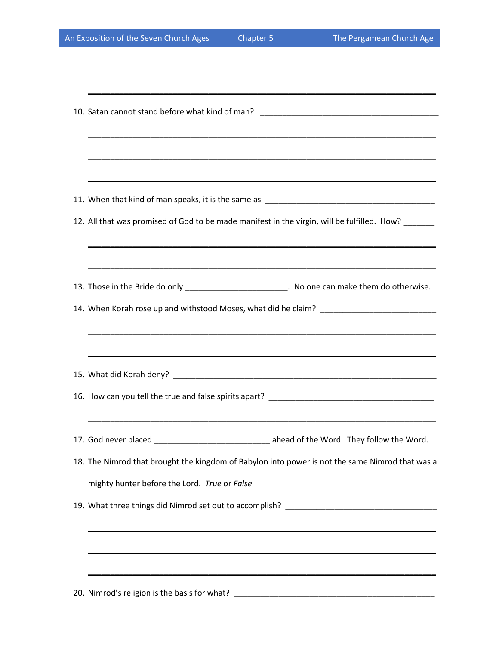\_\_\_\_\_\_\_\_\_\_\_\_\_\_\_\_\_\_\_\_\_\_\_\_\_\_\_\_\_\_\_\_\_\_\_\_\_\_\_\_\_\_\_\_\_\_\_\_\_\_\_\_\_\_\_\_\_\_\_\_\_\_\_\_\_\_\_\_\_\_\_\_\_\_\_\_\_\_

| ,我们也不会有什么。""我们的人,我们也不会有什么?""我们的人,我们也不会有什么?""我们的人,我们也不会有什么?""我们的人,我们也不会有什么?""我们的人                                                                                                |  |  |  |
|---------------------------------------------------------------------------------------------------------------------------------------------------------------------------------|--|--|--|
|                                                                                                                                                                                 |  |  |  |
| 12. All that was promised of God to be made manifest in the virgin, will be fulfilled. How?<br>,我们也不会有什么。""我们的人,我们也不会有什么?""我们的人,我们也不会有什么?""我们的人,我们也不会有什么?""我们的人,我们也不会有什么?""我们的人 |  |  |  |
| 13. Those in the Bride do only _________________________. No one can make them do otherwise.                                                                                    |  |  |  |
| ,我们也不会有一个人的人,我们也不会有一个人的人,我们也不会有一个人的人,我们也不会有一个人的人。""我们的人,我们也不会有一个人的人,我们也不会有一个人的人,                                                                                                |  |  |  |
|                                                                                                                                                                                 |  |  |  |
|                                                                                                                                                                                 |  |  |  |
| 17. God never placed __________________________________ ahead of the Word. They follow the Word.                                                                                |  |  |  |
| 18. The Nimrod that brought the kingdom of Babylon into power is not the same Nimrod that was a                                                                                 |  |  |  |
| mighty hunter before the Lord. True or False                                                                                                                                    |  |  |  |
|                                                                                                                                                                                 |  |  |  |
|                                                                                                                                                                                 |  |  |  |
| 20. Nimrod's religion is the basis for what? ___________________________________                                                                                                |  |  |  |
|                                                                                                                                                                                 |  |  |  |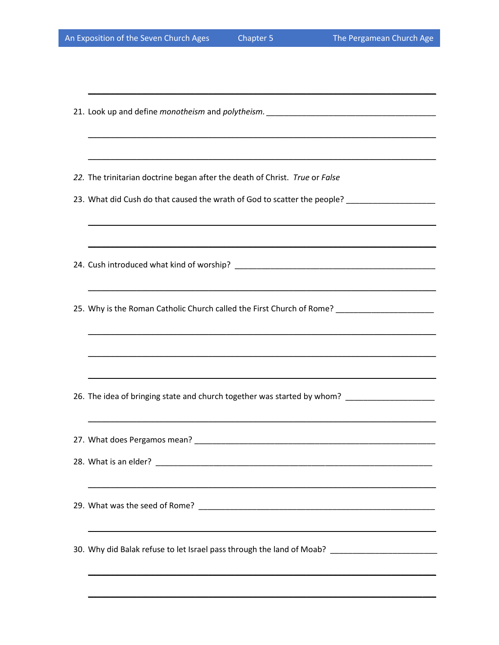| 22. The trinitarian doctrine began after the death of Christ. True or False                          |
|------------------------------------------------------------------------------------------------------|
| 23. What did Cush do that caused the wrath of God to scatter the people? ___________________________ |
|                                                                                                      |
|                                                                                                      |
|                                                                                                      |
| 25. Why is the Roman Catholic Church called the First Church of Rome? _____________________________  |
| ,我们也不会有什么。""我们的人,我们也不会有什么?""我们的人,我们也不会有什么?""我们的人,我们也不会有什么?""我们的人,我们也不会有什么?""我们的人                     |
|                                                                                                      |
| 26. The idea of bringing state and church together was started by whom? ____________________________ |
|                                                                                                      |
|                                                                                                      |
|                                                                                                      |
|                                                                                                      |
| ,我们也不会有什么。""我们的人,我们也不会有什么?""我们的人,我们也不会有什么?""我们的人,我们也不会有什么?""我们的人,我们也不会有什么?""我们的人                     |
| 30. Why did Balak refuse to let Israel pass through the land of Moab? _____________________________  |
|                                                                                                      |